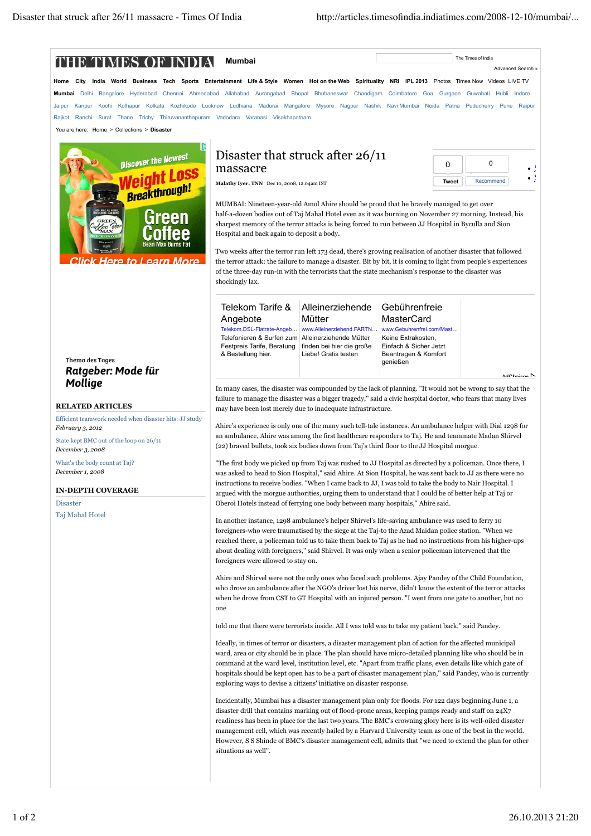